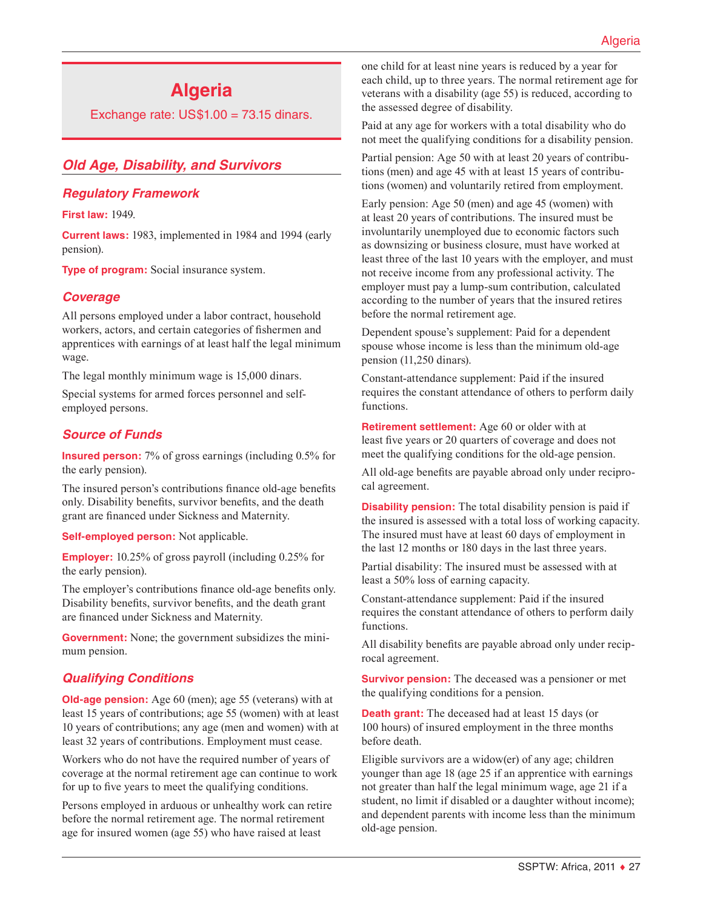# **Algeria**

Exchange rate:  $US$1.00 = 73.15$  dinars.

# *Old Age, Disability, and Survivors*

#### *Regulatory Framework*

**First law:** 1949.

**Current laws:** 1983, implemented in 1984 and 1994 (early pension).

**Type of program:** Social insurance system.

#### *Coverage*

All persons employed under a labor contract, household workers, actors, and certain categories of fishermen and apprentices with earnings of at least half the legal minimum wage.

The legal monthly minimum wage is 15,000 dinars.

Special systems for armed forces personnel and selfemployed persons.

# *Source of Funds*

**Insured person:** 7% of gross earnings (including 0.5% for the early pension).

The insured person's contributions finance old-age benefits only. Disability benefits, survivor benefits, and the death grant are financed under Sickness and Maternity.

**Self-employed person:** Not applicable.

**Employer:** 10.25% of gross payroll (including 0.25% for the early pension).

The employer's contributions finance old-age benefits only. Disability benefits, survivor benefits, and the death grant are financed under Sickness and Maternity.

**Government:** None; the government subsidizes the minimum pension.

#### *Qualifying Conditions*

**Old-age pension:** Age 60 (men); age 55 (veterans) with at least 15 years of contributions; age 55 (women) with at least 10 years of contributions; any age (men and women) with at least 32 years of contributions. Employment must cease.

Workers who do not have the required number of years of coverage at the normal retirement age can continue to work for up to five years to meet the qualifying conditions.

Persons employed in arduous or unhealthy work can retire before the normal retirement age. The normal retirement age for insured women (age 55) who have raised at least

one child for at least nine years is reduced by a year for each child, up to three years. The normal retirement age for veterans with a disability (age 55) is reduced, according to the assessed degree of disability.

Paid at any age for workers with a total disability who do not meet the qualifying conditions for a disability pension.

Partial pension: Age 50 with at least 20 years of contributions (men) and age 45 with at least 15 years of contributions (women) and voluntarily retired from employment.

Early pension: Age 50 (men) and age 45 (women) with at least 20 years of contributions. The insured must be involuntarily unemployed due to economic factors such as downsizing or business closure, must have worked at least three of the last 10 years with the employer, and must not receive income from any professional activity. The employer must pay a lump-sum contribution, calculated according to the number of years that the insured retires before the normal retirement age.

Dependent spouse's supplement: Paid for a dependent spouse whose income is less than the minimum old-age pension (11,250 dinars).

Constant-attendance supplement: Paid if the insured requires the constant attendance of others to perform daily functions.

**Retirement settlement:** Age 60 or older with at least five years or 20 quarters of coverage and does not meet the qualifying conditions for the old-age pension.

All old-age benefits are payable abroad only under reciprocal agreement.

**Disability pension:** The total disability pension is paid if the insured is assessed with a total loss of working capacity. The insured must have at least 60 days of employment in the last 12 months or 180 days in the last three years.

Partial disability: The insured must be assessed with at least a 50% loss of earning capacity.

Constant-attendance supplement: Paid if the insured requires the constant attendance of others to perform daily functions.

All disability benefits are payable abroad only under reciprocal agreement.

**Survivor pension:** The deceased was a pensioner or met the qualifying conditions for a pension.

**Death grant:** The deceased had at least 15 days (or 100 hours) of insured employment in the three months before death.

Eligible survivors are a widow(er) of any age; children younger than age 18 (age 25 if an apprentice with earnings not greater than half the legal minimum wage, age 21 if a student, no limit if disabled or a daughter without income); and dependent parents with income less than the minimum old-age pension.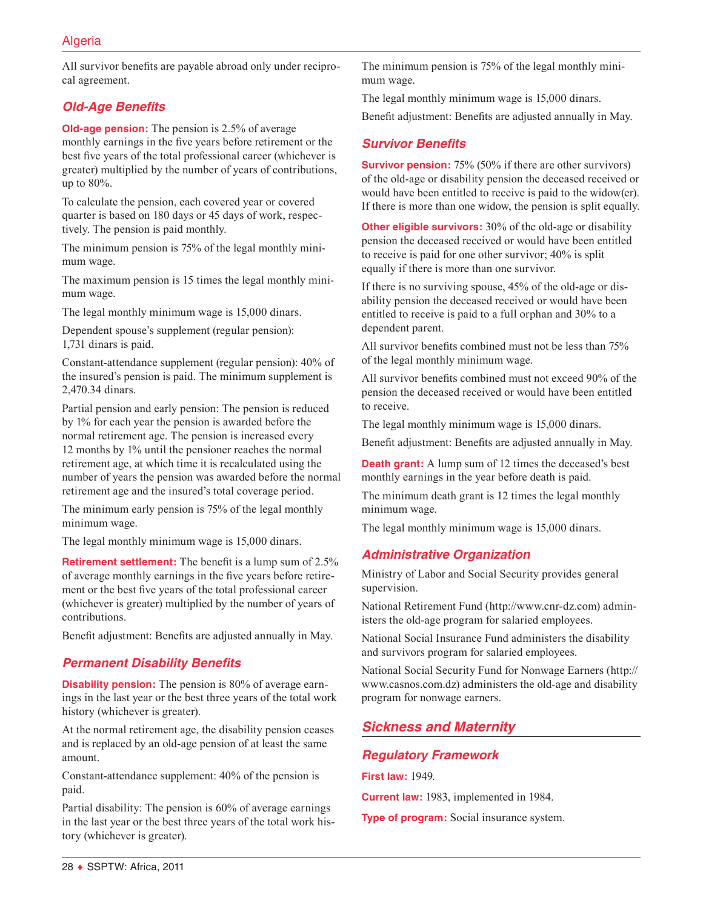All survivor benefits are payable abroad only under reciprocal agreement.

# *Old-Age Benefits*

**Old-age pension:** The pension is 2.5% of average monthly earnings in the five years before retirement or the best five years of the total professional career (whichever is greater) multiplied by the number of years of contributions, up to 80%.

To calculate the pension, each covered year or covered quarter is based on 180 days or 45 days of work, respectively. The pension is paid monthly.

The minimum pension is 75% of the legal monthly minimum wage.

The maximum pension is 15 times the legal monthly minimum wage.

The legal monthly minimum wage is 15,000 dinars.

Dependent spouse's supplement (regular pension): 1,731 dinars is paid.

Constant-attendance supplement (regular pension): 40% of the insured's pension is paid. The minimum supplement is 2,470.34 dinars.

Partial pension and early pension: The pension is reduced by 1% for each year the pension is awarded before the normal retirement age. The pension is increased every 12 months by 1% until the pensioner reaches the normal retirement age, at which time it is recalculated using the number of years the pension was awarded before the normal retirement age and the insured's total coverage period.

The minimum early pension is 75% of the legal monthly minimum wage.

The legal monthly minimum wage is 15,000 dinars.

**Retirement settlement:** The benefit is a lump sum of 2.5% of average monthly earnings in the five years before retirement or the best five years of the total professional career (whichever is greater) multiplied by the number of years of contributions.

Benefit adjustment: Benefits are adjusted annually in May.

#### *Permanent Disability Benefits*

**Disability pension:** The pension is 80% of average earnings in the last year or the best three years of the total work history (whichever is greater).

At the normal retirement age, the disability pension ceases and is replaced by an old-age pension of at least the same amount.

Constant-attendance supplement: 40% of the pension is paid.

Partial disability: The pension is 60% of average earnings in the last year or the best three years of the total work history (whichever is greater).

The minimum pension is 75% of the legal monthly minimum wage.

The legal monthly minimum wage is 15,000 dinars.

Benefit adjustment: Benefits are adjusted annually in May.

# *Survivor Benefits*

**Survivor pension:** 75% (50% if there are other survivors) of the old-age or disability pension the deceased received or would have been entitled to receive is paid to the widow(er). If there is more than one widow, the pension is split equally.

**Other eligible survivors:** 30% of the old-age or disability pension the deceased received or would have been entitled to receive is paid for one other survivor; 40% is split equally if there is more than one survivor.

If there is no surviving spouse, 45% of the old-age or disability pension the deceased received or would have been entitled to receive is paid to a full orphan and 30% to a dependent parent.

All survivor benefits combined must not be less than 75% of the legal monthly minimum wage.

All survivor benefits combined must not exceed 90% of the pension the deceased received or would have been entitled to receive.

The legal monthly minimum wage is 15,000 dinars.

Benefit adjustment: Benefits are adjusted annually in May.

**Death grant:** A lump sum of 12 times the deceased's best monthly earnings in the year before death is paid.

The minimum death grant is 12 times the legal monthly minimum wage.

The legal monthly minimum wage is 15,000 dinars.

#### *Administrative Organization*

Ministry of Labor and Social Security provides general supervision.

National Retirement Fund [\(http://www.cnr-dz.com\)](http://www.cnr-dz.com) administers the old-age program for salaried employees.

National Social Insurance Fund administers the disability and survivors program for salaried employees.

National Social Security Fund for Nonwage Earners ([http://](http://www.casnos.com.dz) [www.casnos.com.dz](http://www.casnos.com.dz)) administers the old-age and disability program for nonwage earners.

# *Sickness and Maternity*

#### *Regulatory Framework*

**First law:** 1949.

**Current law:** 1983, implemented in 1984.

**Type of program:** Social insurance system.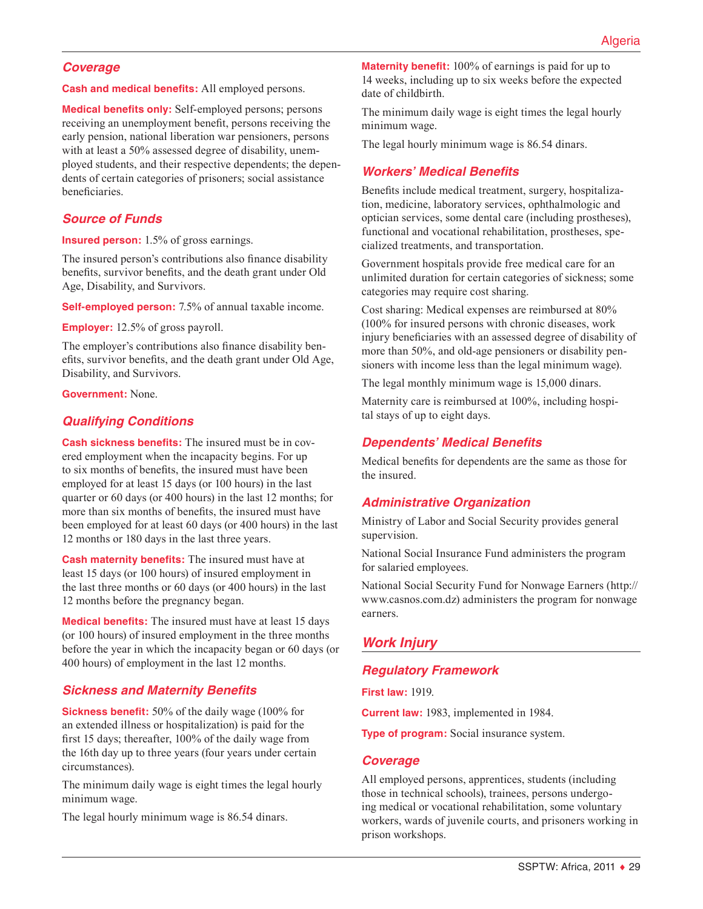#### *Coverage*

**Cash and medical benefits:** All employed persons.

**Medical benefits only:** Self-employed persons; persons receiving an unemployment benefit, persons receiving the early pension, national liberation war pensioners, persons with at least a 50% assessed degree of disability, unemployed students, and their respective dependents; the dependents of certain categories of prisoners; social assistance beneficiaries.

#### *Source of Funds*

**Insured person:** 1.5% of gross earnings.

The insured person's contributions also finance disability benefits, survivor benefits, and the death grant under Old Age, Disability, and Survivors.

**Self-employed person:** 7.5% of annual taxable income.

**Employer:** 12.5% of gross payroll.

The employer's contributions also finance disability benefits, survivor benefits, and the death grant under Old Age, Disability, and Survivors.

**Government:** None.

#### *Qualifying Conditions*

**Cash sickness benefits:** The insured must be in covered employment when the incapacity begins. For up to six months of benefits, the insured must have been employed for at least 15 days (or 100 hours) in the last quarter or 60 days (or 400 hours) in the last 12 months; for more than six months of benefits, the insured must have been employed for at least 60 days (or 400 hours) in the last 12 months or 180 days in the last three years.

**Cash maternity benefits:** The insured must have at least 15 days (or 100 hours) of insured employment in the last three months or 60 days (or 400 hours) in the last 12 months before the pregnancy began.

**Medical benefits:** The insured must have at least 15 days (or 100 hours) of insured employment in the three months before the year in which the incapacity began or 60 days (or 400 hours) of employment in the last 12 months.

#### *Sickness and Maternity Benefits*

**Sickness benefit:** 50% of the daily wage (100% for an extended illness or hospitalization) is paid for the first 15 days; thereafter, 100% of the daily wage from the 16th day up to three years (four years under certain circumstances).

The minimum daily wage is eight times the legal hourly minimum wage.

The legal hourly minimum wage is 86.54 dinars.

**Maternity benefit:** 100% of earnings is paid for up to 14 weeks, including up to six weeks before the expected date of childbirth.

The minimum daily wage is eight times the legal hourly minimum wage.

The legal hourly minimum wage is 86.54 dinars.

#### *Workers' Medical Benefits*

Benefits include medical treatment, surgery, hospitalization, medicine, laboratory services, ophthalmologic and optician services, some dental care (including prostheses), functional and vocational rehabilitation, prostheses, specialized treatments, and transportation.

Government hospitals provide free medical care for an unlimited duration for certain categories of sickness; some categories may require cost sharing.

Cost sharing: Medical expenses are reimbursed at 80% (100% for insured persons with chronic diseases, work injury beneficiaries with an assessed degree of disability of more than 50%, and old-age pensioners or disability pensioners with income less than the legal minimum wage).

The legal monthly minimum wage is 15,000 dinars.

Maternity care is reimbursed at 100%, including hospital stays of up to eight days.

#### *Dependents' Medical Benefits*

Medical benefits for dependents are the same as those for the insured.

#### *Administrative Organization*

Ministry of Labor and Social Security provides general supervision.

National Social Insurance Fund administers the program for salaried employees.

National Social Security Fund for Nonwage Earners ([http://](http://www.casnos.com.dz) [www.casnos.com.dz](http://www.casnos.com.dz)) administers the program for nonwage earners.

#### *Work Injury*

#### *Regulatory Framework*

**First law:** 1919.

**Current law:** 1983, implemented in 1984.

**Type of program:** Social insurance system.

#### *Coverage*

All employed persons, apprentices, students (including those in technical schools), trainees, persons undergoing medical or vocational rehabilitation, some voluntary workers, wards of juvenile courts, and prisoners working in prison workshops.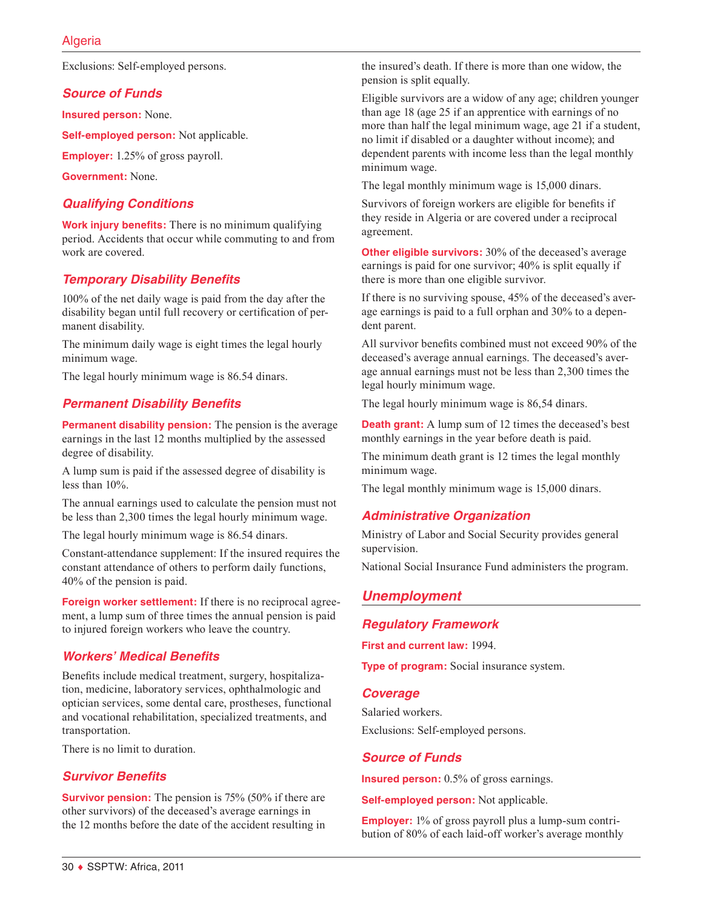Exclusions: Self-employed persons.

#### *Source of Funds*

**Insured person:** None.

**Self-employed person:** Not applicable.

**Employer:** 1.25% of gross payroll.

**Government:** None.

#### *Qualifying Conditions*

**Work injury benefits:** There is no minimum qualifying period. Accidents that occur while commuting to and from work are covered.

# *Temporary Disability Benefits*

100% of the net daily wage is paid from the day after the disability began until full recovery or certification of permanent disability.

The minimum daily wage is eight times the legal hourly minimum wage.

The legal hourly minimum wage is 86.54 dinars.

#### *Permanent Disability Benefits*

**Permanent disability pension:** The pension is the average earnings in the last 12 months multiplied by the assessed degree of disability.

A lump sum is paid if the assessed degree of disability is less than 10%.

The annual earnings used to calculate the pension must not be less than 2,300 times the legal hourly minimum wage.

The legal hourly minimum wage is 86.54 dinars.

Constant-attendance supplement: If the insured requires the constant attendance of others to perform daily functions, 40% of the pension is paid.

**Foreign worker settlement:** If there is no reciprocal agreement, a lump sum of three times the annual pension is paid to injured foreign workers who leave the country.

#### *Workers' Medical Benefits*

Benefits include medical treatment, surgery, hospitalization, medicine, laboratory services, ophthalmologic and optician services, some dental care, prostheses, functional and vocational rehabilitation, specialized treatments, and transportation.

There is no limit to duration.

#### *Survivor Benefits*

**Survivor pension:** The pension is 75% (50% if there are other survivors) of the deceased's average earnings in the 12 months before the date of the accident resulting in the insured's death. If there is more than one widow, the pension is split equally.

Eligible survivors are a widow of any age; children younger than age 18 (age 25 if an apprentice with earnings of no more than half the legal minimum wage, age 21 if a student, no limit if disabled or a daughter without income); and dependent parents with income less than the legal monthly minimum wage.

The legal monthly minimum wage is 15,000 dinars.

Survivors of foreign workers are eligible for benefits if they reside in Algeria or are covered under a reciprocal agreement.

**Other eligible survivors:** 30% of the deceased's average earnings is paid for one survivor; 40% is split equally if there is more than one eligible survivor.

If there is no surviving spouse, 45% of the deceased's average earnings is paid to a full orphan and 30% to a dependent parent.

All survivor benefits combined must not exceed 90% of the deceased's average annual earnings. The deceased's average annual earnings must not be less than 2,300 times the legal hourly minimum wage.

The legal hourly minimum wage is 86,54 dinars.

**Death grant:** A lump sum of 12 times the deceased's best monthly earnings in the year before death is paid.

The minimum death grant is 12 times the legal monthly minimum wage.

The legal monthly minimum wage is 15,000 dinars.

#### *Administrative Organization*

Ministry of Labor and Social Security provides general supervision.

National Social Insurance Fund administers the program.

#### *Unemployment*

#### *Regulatory Framework*

**First and current law:** 1994.

**Type of program:** Social insurance system.

#### *Coverage*

Salaried workers. Exclusions: Self-employed persons.

#### *Source of Funds*

**Insured person:** 0.5% of gross earnings.

**Self-employed person:** Not applicable.

**Employer:** 1% of gross payroll plus a lump-sum contribution of 80% of each laid-off worker's average monthly